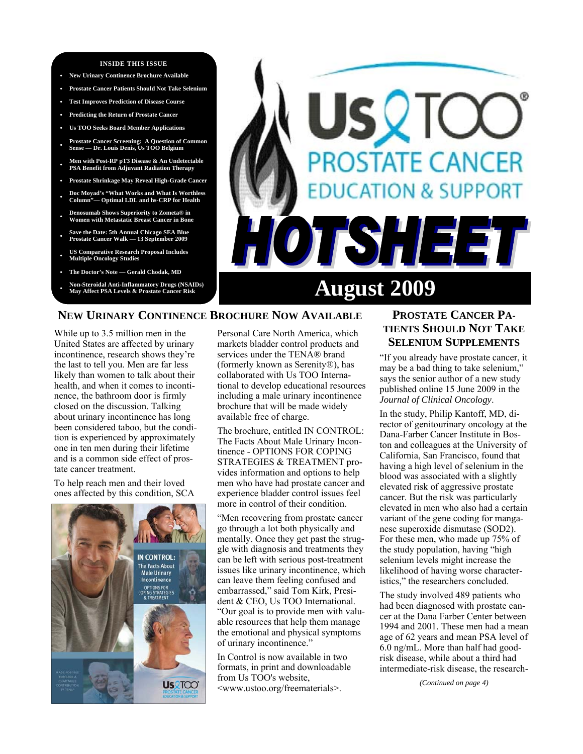#### **INSIDE THIS ISSUE**

- **New Urinary Continence Brochure Available**
- **Prostate Cancer Patients Should Not Take Selenium**
- **Test Improves Prediction of Disease Course**
- **Predicting the Return of Prostate Cancer**
- **Us TOO Seeks Board Member Applications**
- **Prostate Cancer Screening: A Question of Common Sense Dr. Louis Denis, Us TOO Belgium**
- **Men with Post-RP pT3 Disease & An Undetectable PSA Benefit from Adjuvant Radiation Therapy**
- **Prostate Shrinkage May Reveal High-Grade Cancer**
- **Doc Moyad's "What Works and What Is Worthless Column"— Optimal LDL and hs-CRP for Health**
- **Denosumab Shows Superiority to Zometa® in Women with Metastatic Breast Cancer in Bone**
- **Save the Date: 5th Annual Chicago SEA Blue Prostate Cancer Walk — 13 September 2009**
- **US Comparative Research Proposal Includes Multiple Oncology Studies**
- **The Doctor's Note Gerald Chodak, MD**
- **Non-Steroidal Anti-Inflammatory Drugs (NSAIDs)**



## **NEW URINARY CONTINENCE BROCHURE NOW AVAILABLE**

While up to 3.5 million men in the United States are affected by urinary incontinence, research shows they're the last to tell you. Men are far less likely than women to talk about their health, and when it comes to incontinence, the bathroom door is firmly closed on the discussion. Talking about urinary incontinence has long been considered taboo, but the condition is experienced by approximately one in ten men during their lifetime and is a common side effect of prostate cancer treatment.

To help reach men and their loved ones affected by this condition, SCA



Personal Care North America, which markets bladder control products and services under the TENA® brand (formerly known as Serenity®), has collaborated with Us TOO International to develop educational resources including a male urinary incontinence brochure that will be made widely available free of charge.

The brochure, entitled IN CONTROL: The Facts About Male Urinary Incontinence - OPTIONS FOR COPING STRATEGIES & TREATMENT provides information and options to help men who have had prostate cancer and experience bladder control issues feel more in control of their condition.

"Men recovering from prostate cancer go through a lot both physically and mentally. Once they get past the struggle with diagnosis and treatments they can be left with serious post-treatment issues like urinary incontinence, which can leave them feeling confused and embarrassed," said Tom Kirk, President & CEO, Us TOO International. "Our goal is to provide men with valuable resources that help them manage the emotional and physical symptoms of urinary incontinence."

In Control is now available in two formats, in print and downloadable from Us TOO's website, <www.ustoo.org/freematerials>.

# **PROSTATE CANCER PA-TIENTS SHOULD NOT TAKE SELENIUM SUPPLEMENTS**

"If you already have prostate cancer, it may be a bad thing to take selenium," says the senior author of a new study published online 15 June 2009 in the *Journal of Clinical Oncology*.

In the study, Philip Kantoff, MD, director of genitourinary oncology at the Dana-Farber Cancer Institute in Boston and colleagues at the University of California, San Francisco, found that having a high level of selenium in the blood was associated with a slightly elevated risk of aggressive prostate cancer. But the risk was particularly elevated in men who also had a certain variant of the gene coding for manganese superoxide dismutase (SOD2). For these men, who made up 75% of the study population, having "high selenium levels might increase the likelihood of having worse characteristics," the researchers concluded.

The study involved 489 patients who had been diagnosed with prostate cancer at the Dana Farber Center between 1994 and 2001. These men had a mean age of 62 years and mean PSA level of 6.0 ng/mL. More than half had goodrisk disease, while about a third had intermediate-risk disease, the research-

*(Continued on page 4)*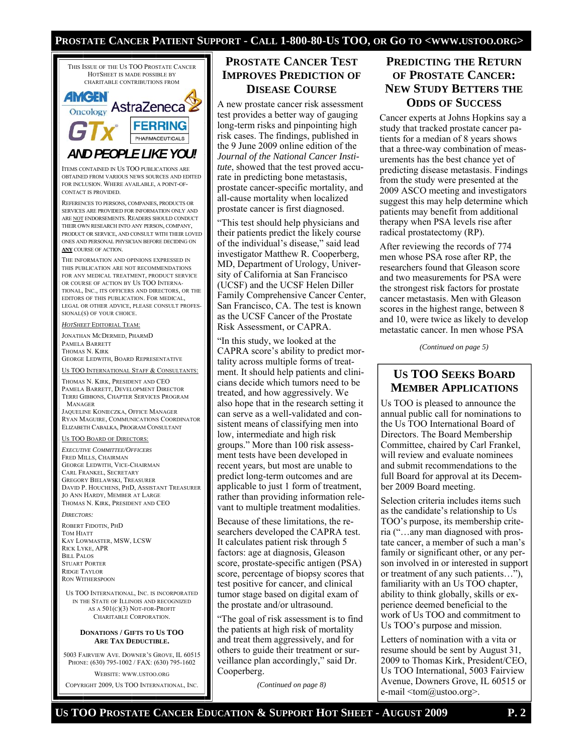## **PROSTATE CANCER PATIENT SUPPORT - CALL 1-800-80-US TOO, OR GO TO <WWW.USTOO.ORG>**



ITEMS CONTAINED IN US TOO PUBLICATIONS ARE OBTAINED FROM VARIOUS NEWS SOURCES AND EDITED FOR INCLUSION. WHERE AVAILABLE, A POINT-OF-CONTACT IS PROVIDED.

REFERENCES TO PERSONS, COMPANIES, PRODUCTS OR SERVICES ARE PROVIDED FOR INFORMATION ONLY AND ARE NOT ENDORSEMENTS. READERS SHOULD CONDUCT THEIR OWN RESEARCH INTO ANY PERSON, COMPANY, PRODUCT OR SERVICE, AND CONSULT WITH THEIR LOVED ONES AND PERSONAL PHYSICIAN BEFORE DECIDING ON **ANY** COURSE OF ACTION.

THE INFORMATION AND OPINIONS EXPRESSED IN THIS PUBLICATION ARE NOT RECOMMENDATIONS FOR ANY MEDICAL TREATMENT, PRODUCT SERVICE OR COURSE OF ACTION BY US TOO INTERNA-TIONAL, INC., ITS OFFICERS AND DIRECTORS, OR THE EDITORS OF THIS PUBLICATION. FOR MEDICAL, LEGAL OR OTHER ADVICE, PLEASE CONSULT PROFES-SIONAL(S) OF YOUR CHOICE.

*HOTSHEET* EDITORIAL TEAM:

JONATHAN MCDERMED, PHARMD PAMELA BARRETT THOMAS N. KIRK GEORGE LEDWITH, BOARD REPRESENTATIVE

US TOO INTERNATIONAL STAFF & CONSULTANTS:

THOMAS N. KIRK, PRESIDENT AND CEO PAMELA BARRETT, DEVELOPMENT DIRECTOR TERRI GIBBONS, CHAPTER SERVICES PROGRAM MANAGER

JAQUELINE KONIECZKA, OFFICE MANAGER RYAN MAGUIRE, COMMUNICATIONS COORDINATOR ELIZABETH CABALKA, PROGRAM CONSULTANT

#### US TOO BOARD OF DIRECTORS:

*EXECUTIVE COMMITTEE/OFFICERS* FRED MILLS, CHAIRMAN GEORGE LEDWITH, VICE-CHAIRMAN CARL FRANKEL, SECRETARY GREGORY BIELAWSKI, TREASURER DAVID P. HOUCHENS, PHD, ASSISTANT TREASURER JO ANN HARDY, MEMBER AT LARGE THOMAS N. KIRK, PRESIDENT AND CEO

*DIRECTORS:* 

ROBERT FIDOTIN, PHD TOM HIATT KAY LOWMASTER, MSW, LCSW RICK LYKE, APR BILL PALOS STUART PORTER RIDGE TAYLOR RON WITHERSPOON

US TOO INTERNATIONAL, INC. IS INCORPORATED IN THE STATE OF ILLINOIS AND RECOGNIZED AS A 501(C)(3) NOT-FOR-PROFIT CHARITABLE CORPORATION.

#### **DONATIONS / GIFTS TO US TOO ARE TAX DEDUCTIBLE.**

5003 FAIRVIEW AVE. DOWNER'S GROVE, IL 60515 PHONE: (630) 795-1002 / FAX: (630) 795-1602

WEBSITE: WWW.USTOO.ORG

COPYRIGHT 2009, US TOO INTERNATIONAL, INC.

## **PROSTATE CANCER TEST IMPROVES PREDICTION OF DISEASE COURSE**

A new prostate cancer risk assessment test provides a better way of gauging long-term risks and pinpointing high risk cases. The findings, published in the 9 June 2009 online edition of the *Journal of the National Cancer Institute*, showed that the test proved accurate in predicting bone metastasis, prostate cancer-specific mortality, and all-cause mortality when localized prostate cancer is first diagnosed.

"This test should help physicians and their patients predict the likely course of the individual's disease," said lead investigator Matthew R. Cooperberg, MD, Department of Urology, University of California at San Francisco (UCSF) and the UCSF Helen Diller Family Comprehensive Cancer Center, San Francisco, CA. The test is known as the UCSF Cancer of the Prostate Risk Assessment, or CAPRA.

"In this study, we looked at the CAPRA score's ability to predict mortality across multiple forms of treatment. It should help patients and clinicians decide which tumors need to be treated, and how aggressively. We also hope that in the research setting it can serve as a well-validated and consistent means of classifying men into low, intermediate and high risk groups." More than 100 risk assessment tests have been developed in recent years, but most are unable to predict long-term outcomes and are applicable to just 1 form of treatment, rather than providing information relevant to multiple treatment modalities.

Because of these limitations, the researchers developed the CAPRA test. It calculates patient risk through 5 factors: age at diagnosis, Gleason score, prostate-specific antigen (PSA) score, percentage of biopsy scores that test positive for cancer, and clinical tumor stage based on digital exam of the prostate and/or ultrasound.

"The goal of risk assessment is to find the patients at high risk of mortality and treat them aggressively, and for others to guide their treatment or surveillance plan accordingly," said Dr. Cooperberg.

*(Continued on page 8)* 

# **PREDICTING THE RETURN OF PROSTATE CANCER: NEW STUDY BETTERS THE ODDS OF SUCCESS**

Cancer experts at Johns Hopkins say a study that tracked prostate cancer patients for a median of 8 years shows that a three-way combination of measurements has the best chance yet of predicting disease metastasis. Findings from the study were presented at the 2009 ASCO meeting and investigators suggest this may help determine which patients may benefit from additional therapy when PSA levels rise after radical prostatectomy (RP).

After reviewing the records of 774 men whose PSA rose after RP, the researchers found that Gleason score and two measurements for PSA were the strongest risk factors for prostate cancer metastasis. Men with Gleason scores in the highest range, between 8 and 10, were twice as likely to develop metastatic cancer. In men whose PSA

*(Continued on page 5)* 

# **US TOO SEEKS BOARD MEMBER APPLICATIONS**

Us TOO is pleased to announce the annual public call for nominations to the Us TOO International Board of Directors. The Board Membership Committee, chaired by Carl Frankel, will review and evaluate nominees and submit recommendations to the full Board for approval at its December 2009 Board meeting.

Selection criteria includes items such as the candidate's relationship to Us TOO's purpose, its membership criteria ("…any man diagnosed with prostate cancer, a member of such a man's family or significant other, or any person involved in or interested in support or treatment of any such patients…"), familiarity with an Us TOO chapter, ability to think globally, skills or experience deemed beneficial to the work of Us TOO and commitment to Us TOO's purpose and mission.

Letters of nomination with a vita or resume should be sent by August 31, 2009 to Thomas Kirk, President/CEO, Us TOO International, 5003 Fairview Avenue, Downers Grove, IL 60515 or e-mail <tom@ustoo.org>.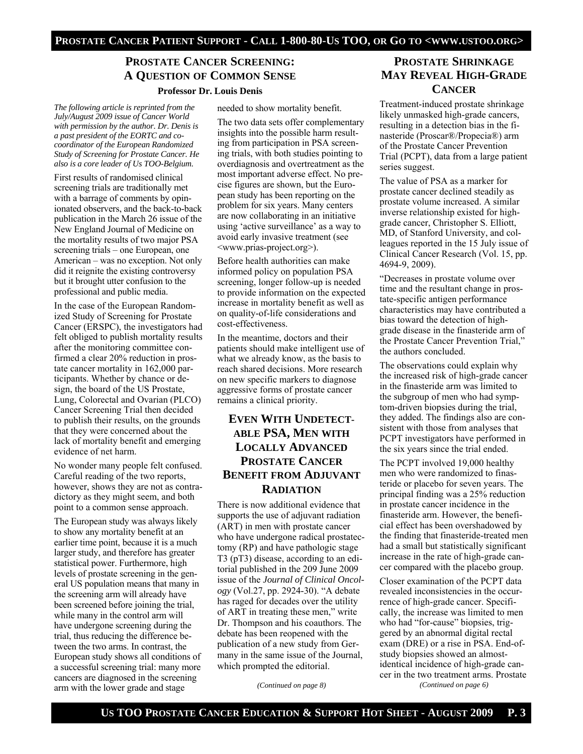# **PROSTATE CANCER SCREENING: A QUESTION OF COMMON SENSE**

#### **Professor Dr. Louis Denis**

*The following article is reprinted from the July/August 2009 issue of Cancer World with permission by the author. Dr. Denis is a past president of the EORTC and cocoordinator of the European Randomized Study of Screening for Prostate Cancer. He also is a core leader of Us TOO-Belgium.* 

First results of randomised clinical screening trials are traditionally met with a barrage of comments by opinionated observers, and the back-to-back publication in the March 26 issue of the New England Journal of Medicine on the mortality results of two major PSA screening trials – one European, one American – was no exception. Not only did it reignite the existing controversy but it brought utter confusion to the professional and public media.

In the case of the European Randomized Study of Screening for Prostate Cancer (ERSPC), the investigators had felt obliged to publish mortality results after the monitoring committee confirmed a clear 20% reduction in prostate cancer mortality in 162,000 participants. Whether by chance or design, the board of the US Prostate, Lung, Colorectal and Ovarian (PLCO) Cancer Screening Trial then decided to publish their results, on the grounds that they were concerned about the lack of mortality benefit and emerging evidence of net harm.

No wonder many people felt confused. Careful reading of the two reports, however, shows they are not as contradictory as they might seem, and both point to a common sense approach.

The European study was always likely to show any mortality benefit at an earlier time point, because it is a much larger study, and therefore has greater statistical power. Furthermore, high levels of prostate screening in the general US population means that many in the screening arm will already have been screened before joining the trial, while many in the control arm will have undergone screening during the trial, thus reducing the difference between the two arms. In contrast, the European study shows all conditions of a successful screening trial: many more cancers are diagnosed in the screening arm with the lower grade and stage

needed to show mortality benefit.

The two data sets offer complementary insights into the possible harm resulting from participation in PSA screening trials, with both studies pointing to overdiagnosis and overtreatment as the most important adverse effect. No precise figures are shown, but the European study has been reporting on the problem for six years. Many centers are now collaborating in an initiative using 'active surveillance' as a way to avoid early invasive treatment (see <www.prias-project.org>).

Before health authorities can make informed policy on population PSA screening, longer follow-up is needed to provide information on the expected increase in mortality benefit as well as on quality-of-life considerations and cost-effectiveness.

In the meantime, doctors and their patients should make intelligent use of what we already know, as the basis to reach shared decisions. More research on new specific markers to diagnose aggressive forms of prostate cancer remains a clinical priority.

# **EVEN WITH UNDETECT-ABLE PSA, MEN WITH LOCALLY ADVANCED PROSTATE CANCER BENEFIT FROM ADJUVANT RADIATION**

There is now additional evidence that supports the use of adjuvant radiation (ART) in men with prostate cancer who have undergone radical prostatectomy (RP) and have pathologic stage T3 (pT3) disease, according to an editorial published in the 209 June 2009 issue of the *Journal of Clinical Oncology* (Vol.27, pp. 2924-30). "A debate has raged for decades over the utility of ART in treating these men," write Dr. Thompson and his coauthors. The debate has been reopened with the publication of a new study from Germany in the same issue of the Journal, which prompted the editorial.

*(Continued on page 8)* 

## **PROSTATE SHRINKAGE MAY REVEAL HIGH-GRADE CANCER**

Treatment-induced prostate shrinkage likely unmasked high-grade cancers, resulting in a detection bias in the finasteride (Proscar®/Propecia®) arm of the Prostate Cancer Prevention Trial (PCPT), data from a large patient series suggest.

The value of PSA as a marker for prostate cancer declined steadily as prostate volume increased. A similar inverse relationship existed for highgrade cancer, Christopher S. Elliott, MD, of Stanford University, and colleagues reported in the 15 July issue of Clinical Cancer Research (Vol. 15, pp. 4694-9, 2009).

"Decreases in prostate volume over time and the resultant change in prostate-specific antigen performance characteristics may have contributed a bias toward the detection of highgrade disease in the finasteride arm of the Prostate Cancer Prevention Trial," the authors concluded.

The observations could explain why the increased risk of high-grade cancer in the finasteride arm was limited to the subgroup of men who had symptom-driven biopsies during the trial, they added. The findings also are consistent with those from analyses that PCPT investigators have performed in the six years since the trial ended.

The PCPT involved 19,000 healthy men who were randomized to finasteride or placebo for seven years. The principal finding was a 25% reduction in prostate cancer incidence in the finasteride arm. However, the beneficial effect has been overshadowed by the finding that finasteride-treated men had a small but statistically significant increase in the rate of high-grade cancer compared with the placebo group.

Closer examination of the PCPT data revealed inconsistencies in the occurrence of high-grade cancer. Specifically, the increase was limited to men who had "for-cause" biopsies, triggered by an abnormal digital rectal exam (DRE) or a rise in PSA. End-ofstudy biopsies showed an almostidentical incidence of high-grade cancer in the two treatment arms. Prostate

*(Continued on page 6)*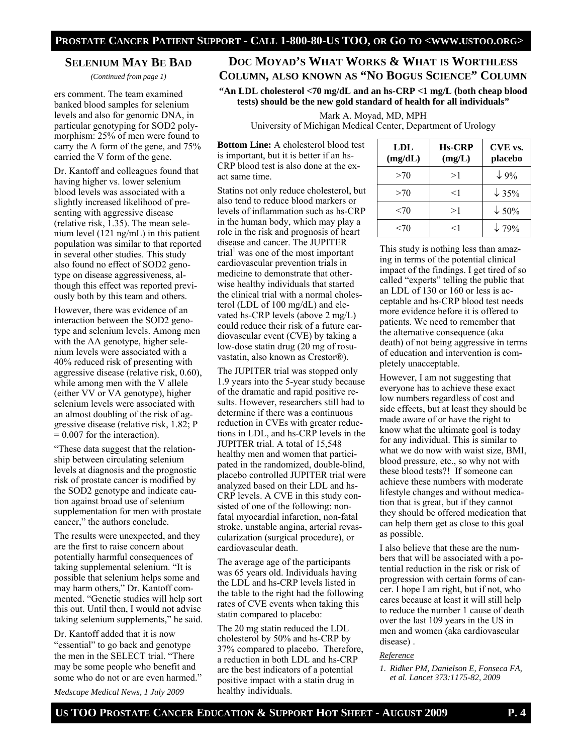## **SELENIUM MAY BE BAD**

*(Continued from page 1)* 

ers comment. The team examined banked blood samples for selenium levels and also for genomic DNA, in particular genotyping for SOD2 polymorphism: 25% of men were found to carry the A form of the gene, and 75% carried the V form of the gene.

Dr. Kantoff and colleagues found that having higher vs. lower selenium blood levels was associated with a slightly increased likelihood of presenting with aggressive disease (relative risk, 1.35). The mean selenium level (121 ng/mL) in this patient population was similar to that reported in several other studies. This study also found no effect of SOD2 genotype on disease aggressiveness, although this effect was reported previously both by this team and others.

However, there was evidence of an interaction between the SOD2 genotype and selenium levels. Among men with the AA genotype, higher selenium levels were associated with a 40% reduced risk of presenting with aggressive disease (relative risk, 0.60), while among men with the V allele (either VV or VA genotype), higher selenium levels were associated with an almost doubling of the risk of aggressive disease (relative risk, 1.82; P  $= 0.007$  for the interaction).

"These data suggest that the relationship between circulating selenium levels at diagnosis and the prognostic risk of prostate cancer is modified by the SOD2 genotype and indicate caution against broad use of selenium supplementation for men with prostate cancer," the authors conclude.

The results were unexpected, and they are the first to raise concern about potentially harmful consequences of taking supplemental selenium. "It is possible that selenium helps some and may harm others," Dr. Kantoff commented. "Genetic studies will help sort this out. Until then, I would not advise taking selenium supplements," he said.

Dr. Kantoff added that it is now "essential" to go back and genotype the men in the SELECT trial. "There may be some people who benefit and some who do not or are even harmed."

*Medscape Medical News, 1 July 2009* 

# **DOC MOYAD'S WHAT WORKS & WHAT IS WORTHLESS COLUMN, ALSO KNOWN AS "NO BOGUS SCIENCE" COLUMN**

**"An LDL cholesterol <70 mg/dL and an hs-CRP <1 mg/L (both cheap blood tests) should be the new gold standard of health for all individuals"** 

Mark A. Moyad, MD, MPH

University of Michigan Medical Center, Department of Urology

**Bottom Line:** A cholesterol blood test is important, but it is better if an hs-CRP blood test is also done at the exact same time.

Statins not only reduce cholesterol, but also tend to reduce blood markers or levels of inflammation such as hs-CRP in the human body, which may play a role in the risk and prognosis of heart disease and cancer. The JUPITER trial<sup>1</sup> was one of the most important cardiovascular prevention trials in medicine to demonstrate that otherwise healthy individuals that started the clinical trial with a normal cholesterol (LDL of 100 mg/dL) and elevated hs-CRP levels (above 2 mg/L) could reduce their risk of a future cardiovascular event (CVE) by taking a low-dose statin drug (20 mg of rosuvastatin, also known as Crestor®).

The JUPITER trial was stopped only 1.9 years into the 5-year study because of the dramatic and rapid positive results. However, researchers still had to determine if there was a continuous reduction in CVEs with greater reductions in LDL, and hs-CRP levels in the JUPITER trial. A total of 15,548 healthy men and women that participated in the randomized, double-blind, placebo controlled JUPITER trial were analyzed based on their LDL and hs-CRP levels. A CVE in this study consisted of one of the following: nonfatal myocardial infarction, non-fatal stroke, unstable angina, arterial revascularization (surgical procedure), or cardiovascular death.

The average age of the participants was 65 years old. Individuals having the LDL and hs-CRP levels listed in the table to the right had the following rates of CVE events when taking this statin compared to placebo:

The 20 mg statin reduced the LDL cholesterol by 50% and hs-CRP by 37% compared to placebo. Therefore, a reduction in both LDL and hs-CRP are the best indicators of a potential positive impact with a statin drug in healthy individuals.

| <b>LDL</b><br>(mg/dL) | <b>Hs-CRP</b><br>(mg/L) | CVE vs.<br>placebo |
|-----------------------|-------------------------|--------------------|
| >70                   | >1                      | $\downarrow$ 9%    |
| >70                   | $<$ 1                   | $\downarrow$ 35%   |
| <70                   | >1                      | $\downarrow$ 50%   |
| $<$ 70                | $<$ 1                   | $\downarrow$ 79%   |

This study is nothing less than amazing in terms of the potential clinical impact of the findings. I get tired of so called "experts" telling the public that an LDL of 130 or 160 or less is acceptable and hs-CRP blood test needs more evidence before it is offered to patients. We need to remember that the alternative consequence (aka death) of not being aggressive in terms of education and intervention is completely unacceptable.

However, I am not suggesting that everyone has to achieve these exact low numbers regardless of cost and side effects, but at least they should be made aware of or have the right to know what the ultimate goal is today for any individual. This is similar to what we do now with waist size, BMI, blood pressure, etc., so why not with these blood tests?! If someone can achieve these numbers with moderate lifestyle changes and without medication that is great, but if they cannot they should be offered medication that can help them get as close to this goal as possible.

I also believe that these are the numbers that will be associated with a potential reduction in the risk or risk of progression with certain forms of cancer. I hope I am right, but if not, who cares because at least it will still help to reduce the number 1 cause of death over the last 109 years in the US in men and women (aka cardiovascular disease) .

#### *Reference*

*1. Ridker PM, Danielson E, Fonseca FA, et al. Lancet 373:1175-82, 2009*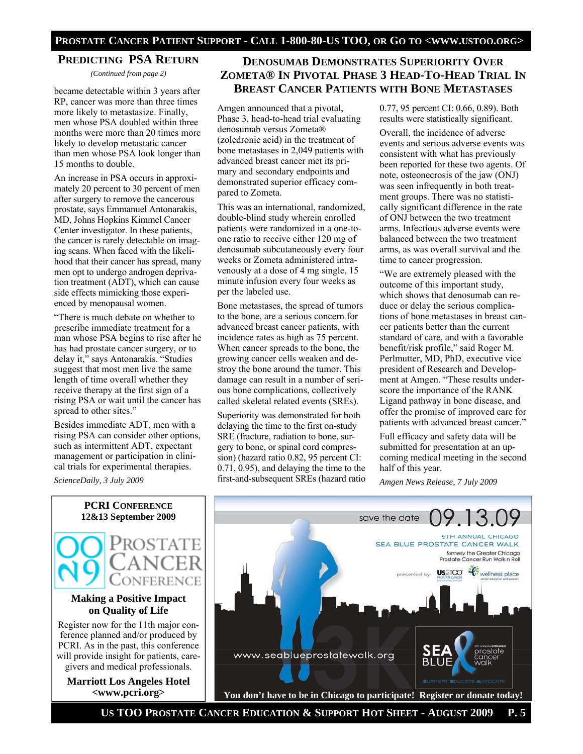## **PREDICTING PSA RETURN**

*(Continued from page 2)* 

became detectable within 3 years after RP, cancer was more than three times more likely to metastasize. Finally, men whose PSA doubled within three months were more than 20 times more likely to develop metastatic cancer than men whose PSA look longer than 15 months to double.

An increase in PSA occurs in approximately 20 percent to 30 percent of men after surgery to remove the cancerous prostate, says Emmanuel Antonarakis, MD, Johns Hopkins Kimmel Cancer Center investigator. In these patients, the cancer is rarely detectable on imaging scans. When faced with the likelihood that their cancer has spread, many men opt to undergo androgen deprivation treatment (ADT), which can cause side effects mimicking those experienced by menopausal women.

"There is much debate on whether to prescribe immediate treatment for a man whose PSA begins to rise after he has had prostate cancer surgery, or to delay it," says Antonarakis. "Studies suggest that most men live the same length of time overall whether they receive therapy at the first sign of a rising PSA or wait until the cancer has spread to other sites."

Besides immediate ADT, men with a rising PSA can consider other options, such as intermittent ADT, expectant management or participation in clinical trials for experimental therapies.

*ScienceDaily, 3 July 2009* 



## **Making a Positive Impact on Quality of Life**

Register now for the 11th major conference planned and/or produced by PCRI. As in the past, this conference will provide insight for patients, caregivers and medical professionals.

**Marriott Los Angeles Hotel <www.pcri.org>** 

# **DENOSUMAB DEMONSTRATES SUPERIORITY OVER ZOMETA® IN PIVOTAL PHASE 3 HEAD-TO-HEAD TRIAL IN BREAST CANCER PATIENTS WITH BONE METASTASES**

Amgen announced that a pivotal, Phase 3, head-to-head trial evaluating denosumab versus Zometa® (zoledronic acid) in the treatment of bone metastases in 2,049 patients with advanced breast cancer met its primary and secondary endpoints and demonstrated superior efficacy compared to Zometa.

This was an international, randomized, double-blind study wherein enrolled patients were randomized in a one-toone ratio to receive either 120 mg of denosumab subcutaneously every four weeks or Zometa administered intravenously at a dose of 4 mg single, 15 minute infusion every four weeks as per the labeled use.

Bone metastases, the spread of tumors to the bone, are a serious concern for advanced breast cancer patients, with incidence rates as high as 75 percent. When cancer spreads to the bone, the growing cancer cells weaken and destroy the bone around the tumor. This damage can result in a number of serious bone complications, collectively called skeletal related events (SREs).

Superiority was demonstrated for both delaying the time to the first on-study SRE (fracture, radiation to bone, surgery to bone, or spinal cord compression) (hazard ratio 0.82, 95 percent CI: 0.71, 0.95), and delaying the time to the first-and-subsequent SREs (hazard ratio

0.77, 95 percent CI: 0.66, 0.89). Both results were statistically significant.

Overall, the incidence of adverse events and serious adverse events was consistent with what has previously been reported for these two agents. Of note, osteonecrosis of the jaw (ONJ) was seen infrequently in both treatment groups. There was no statistically significant difference in the rate of ONJ between the two treatment arms. Infectious adverse events were balanced between the two treatment arms, as was overall survival and the time to cancer progression.

"We are extremely pleased with the outcome of this important study, which shows that denosumab can reduce or delay the serious complications of bone metastases in breast cancer patients better than the current standard of care, and with a favorable benefit/risk profile," said Roger M. Perlmutter, MD, PhD, executive vice president of Research and Development at Amgen. "These results underscore the importance of the RANK Ligand pathway in bone disease, and offer the promise of improved care for patients with advanced breast cancer."

Full efficacy and safety data will be submitted for presentation at an upcoming medical meeting in the second half of this year.

*Amgen News Release, 7 July 2009* 



 **US TOO PROSTATE CANCER EDUCATION & SUPPORT HOT SHEET - AUGUST 2009 P. 5**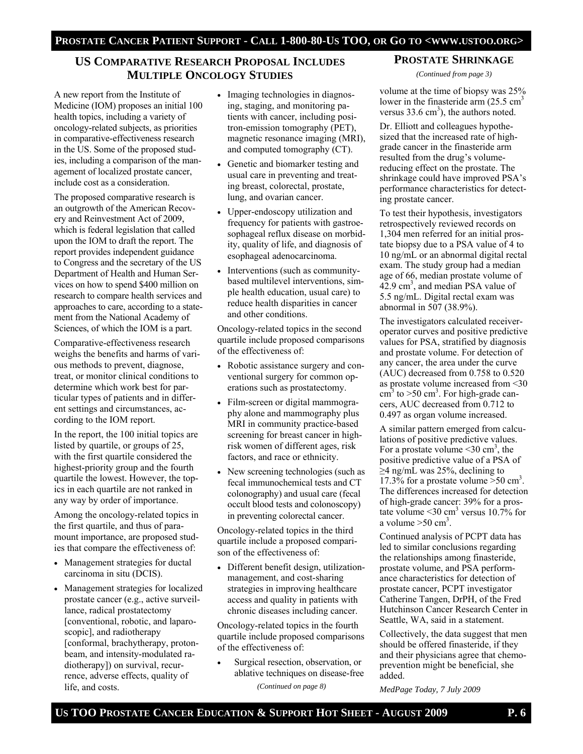# **US COMPARATIVE RESEARCH PROPOSAL INCLUDES MULTIPLE ONCOLOGY STUDIES**

A new report from the Institute of Medicine (IOM) proposes an initial 100 health topics, including a variety of oncology-related subjects, as priorities in comparative-effectiveness research in the US. Some of the proposed studies, including a comparison of the management of localized prostate cancer, include cost as a consideration.

The proposed comparative research is an outgrowth of the American Recovery and Reinvestment Act of 2009, which is federal legislation that called upon the IOM to draft the report. The report provides independent guidance to Congress and the secretary of the US Department of Health and Human Services on how to spend \$400 million on research to compare health services and approaches to care, according to a statement from the National Academy of Sciences, of which the IOM is a part.

Comparative-effectiveness research weighs the benefits and harms of various methods to prevent, diagnose, treat, or monitor clinical conditions to determine which work best for particular types of patients and in different settings and circumstances, according to the IOM report.

In the report, the 100 initial topics are listed by quartile, or groups of 25, with the first quartile considered the highest-priority group and the fourth quartile the lowest. However, the topics in each quartile are not ranked in any way by order of importance.

Among the oncology-related topics in the first quartile, and thus of paramount importance, are proposed studies that compare the effectiveness of:

- Management strategies for ductal carcinoma in situ (DCIS).
- Management strategies for localized prostate cancer (e.g., active surveillance, radical prostatectomy [conventional, robotic, and laparoscopic], and radiotherapy [conformal, brachytherapy, protonbeam, and intensity-modulated radiotherapy]) on survival, recurrence, adverse effects, quality of life, and costs.
- Imaging technologies in diagnosing, staging, and monitoring patients with cancer, including positron-emission tomography (PET), magnetic resonance imaging (MRI), and computed tomography (CT).
- Genetic and biomarker testing and usual care in preventing and treating breast, colorectal, prostate, lung, and ovarian cancer.
- Upper-endoscopy utilization and frequency for patients with gastroesophageal reflux disease on morbidity, quality of life, and diagnosis of esophageal adenocarcinoma.
- Interventions (such as communitybased multilevel interventions, simple health education, usual care) to reduce health disparities in cancer and other conditions.

Oncology-related topics in the second quartile include proposed comparisons of the effectiveness of:

- Robotic assistance surgery and conventional surgery for common operations such as prostatectomy.
- Film-screen or digital mammography alone and mammography plus MRI in community practice-based screening for breast cancer in highrisk women of different ages, risk factors, and race or ethnicity.
- New screening technologies (such as fecal immunochemical tests and CT colonography) and usual care (fecal occult blood tests and colonoscopy) in preventing colorectal cancer.

Oncology-related topics in the third quartile include a proposed comparison of the effectiveness of:

• Different benefit design, utilizationmanagement, and cost-sharing strategies in improving healthcare access and quality in patients with chronic diseases including cancer.

Oncology-related topics in the fourth quartile include proposed comparisons of the effectiveness of:

• Surgical resection, observation, or ablative techniques on disease-free

*(Continued on page 8)* 

## **PROSTATE SHRINKAGE**

*(Continued from page 3)* 

volume at the time of biopsy was 25% lower in the finasteride arm  $(25.5 \text{ cm}^3)$ versus  $33.6 \text{ cm}^3$ ), the authors noted.

Dr. Elliott and colleagues hypothesized that the increased rate of highgrade cancer in the finasteride arm resulted from the drug's volumereducing effect on the prostate. The shrinkage could have improved PSA's performance characteristics for detecting prostate cancer.

To test their hypothesis, investigators retrospectively reviewed records on 1,304 men referred for an initial prostate biopsy due to a PSA value of 4 to 10 ng/mL or an abnormal digital rectal exam. The study group had a median age of 66, median prostate volume of  $42.9 \text{ cm}^3$ , and median PSA value of 5.5 ng/mL. Digital rectal exam was abnormal in 507 (38.9%).

The investigators calculated receiveroperator curves and positive predictive values for PSA, stratified by diagnosis and prostate volume. For detection of any cancer, the area under the curve (AUC) decreased from 0.758 to 0.520 as prostate volume increased from <30  $\text{cm}^3$  to >50 cm<sup>3</sup>. For high-grade cancers, AUC decreased from 0.712 to 0.497 as organ volume increased.

A similar pattern emerged from calculations of positive predictive values. For a prostate volume  $\leq 30$  cm<sup>3</sup>, the positive predictive value of a PSA of  $\geq$ 4 ng/mL was 25%, declining to  $17.3\%$  for a prostate volume  $>50$  cm<sup>3</sup>. The differences increased for detection of high-grade cancer: 39% for a prostate volume  $\leq 30$  cm<sup>3</sup> versus 10.7% for a volume  $>50$  cm<sup>3</sup>.

Continued analysis of PCPT data has led to similar conclusions regarding the relationships among finasteride, prostate volume, and PSA performance characteristics for detection of prostate cancer, PCPT investigator Catherine Tangen, DrPH, of the Fred Hutchinson Cancer Research Center in Seattle, WA, said in a statement.

Collectively, the data suggest that men should be offered finasteride, if they and their physicians agree that chemoprevention might be beneficial, she added.

*MedPage Today, 7 July 2009*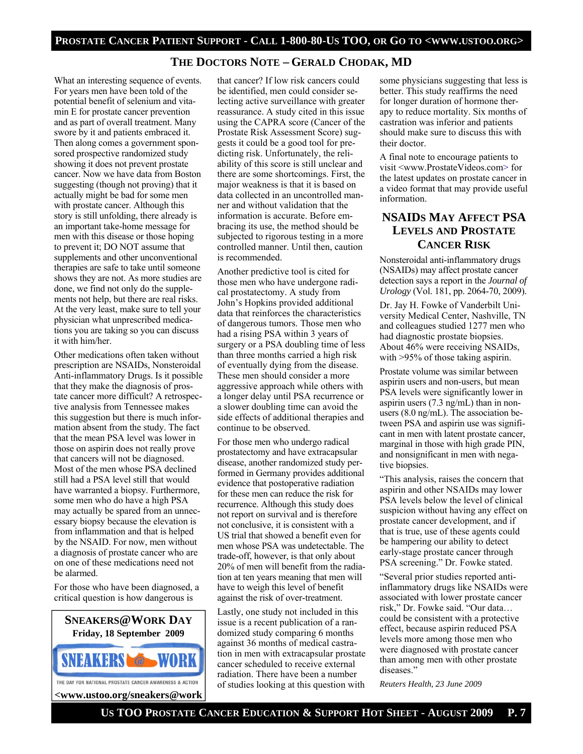## **THE DOCTORS NOTE – GERALD CHODAK, MD**

What an interesting sequence of events. For years men have been told of the potential benefit of selenium and vitamin E for prostate cancer prevention and as part of overall treatment. Many swore by it and patients embraced it. Then along comes a government sponsored prospective randomized study showing it does not prevent prostate cancer. Now we have data from Boston suggesting (though not proving) that it actually might be bad for some men with prostate cancer. Although this story is still unfolding, there already is an important take-home message for men with this disease or those hoping to prevent it; DO NOT assume that supplements and other unconventional therapies are safe to take until someone shows they are not. As more studies are done, we find not only do the supplements not help, but there are real risks. At the very least, make sure to tell your physician what unprescribed medications you are taking so you can discuss it with him/her.

Other medications often taken without prescription are NSAIDs, Nonsteroidal Anti-inflammatory Drugs. Is it possible that they make the diagnosis of prostate cancer more difficult? A retrospective analysis from Tennessee makes this suggestion but there is much information absent from the study. The fact that the mean PSA level was lower in those on aspirin does not really prove that cancers will not be diagnosed. Most of the men whose PSA declined still had a PSA level still that would have warranted a biopsy. Furthermore, some men who do have a high PSA may actually be spared from an unnecessary biopsy because the elevation is from inflammation and that is helped by the NSAID. For now, men without a diagnosis of prostate cancer who are on one of these medications need not be alarmed.

For those who have been diagnosed, a critical question is how dangerous is



that cancer? If low risk cancers could be identified, men could consider selecting active surveillance with greater reassurance. A study cited in this issue using the CAPRA score (Cancer of the Prostate Risk Assessment Score) suggests it could be a good tool for predicting risk. Unfortunately, the reliability of this score is still unclear and there are some shortcomings. First, the major weakness is that it is based on data collected in an uncontrolled manner and without validation that the information is accurate. Before embracing its use, the method should be subjected to rigorous testing in a more controlled manner. Until then, caution is recommended.

Another predictive tool is cited for those men who have undergone radical prostatectomy. A study from John's Hopkins provided additional data that reinforces the characteristics of dangerous tumors. Those men who had a rising PSA within 3 years of surgery or a PSA doubling time of less than three months carried a high risk of eventually dying from the disease. These men should consider a more aggressive approach while others with a longer delay until PSA recurrence or a slower doubling time can avoid the side effects of additional therapies and continue to be observed.

For those men who undergo radical prostatectomy and have extracapsular disease, another randomized study performed in Germany provides additional evidence that postoperative radiation for these men can reduce the risk for recurrence. Although this study does not report on survival and is therefore not conclusive, it is consistent with a US trial that showed a benefit even for men whose PSA was undetectable. The trade-off, however, is that only about 20% of men will benefit from the radiation at ten years meaning that men will have to weigh this level of benefit against the risk of over-treatment.

Lastly, one study not included in this issue is a recent publication of a randomized study comparing 6 months against 36 months of medical castration in men with extracapsular prostate cancer scheduled to receive external radiation. There have been a number of studies looking at this question with

some physicians suggesting that less is better. This study reaffirms the need for longer duration of hormone therapy to reduce mortality. Six months of castration was inferior and patients should make sure to discuss this with their doctor.

A final note to encourage patients to visit <www.ProstateVideos.com> for the latest updates on prostate cancer in a video format that may provide useful information.

## **NSAIDS MAY AFFECT PSA LEVELS AND PROSTATE CANCER RISK**

Nonsteroidal anti-inflammatory drugs (NSAIDs) may affect prostate cancer detection says a report in the *Journal of Urology* (Vol. 181, pp. 2064-70, 2009).

Dr. Jay H. Fowke of Vanderbilt University Medical Center, Nashville, TN and colleagues studied 1277 men who had diagnostic prostate biopsies. About 46% were receiving NSAIDs, with >95% of those taking aspirin.

Prostate volume was similar between aspirin users and non-users, but mean PSA levels were significantly lower in aspirin users (7.3 ng/mL) than in nonusers (8.0 ng/mL). The association between PSA and aspirin use was significant in men with latent prostate cancer, marginal in those with high grade PIN, and nonsignificant in men with negative biopsies.

"This analysis, raises the concern that aspirin and other NSAIDs may lower PSA levels below the level of clinical suspicion without having any effect on prostate cancer development, and if that is true, use of these agents could be hampering our ability to detect early-stage prostate cancer through PSA screening." Dr. Fowke stated.

"Several prior studies reported antiinflammatory drugs like NSAIDs were associated with lower prostate cancer risk," Dr. Fowke said. "Our data… could be consistent with a protective effect, because aspirin reduced PSA levels more among those men who were diagnosed with prostate cancer than among men with other prostate diseases."

*Reuters Health, 23 June 2009*